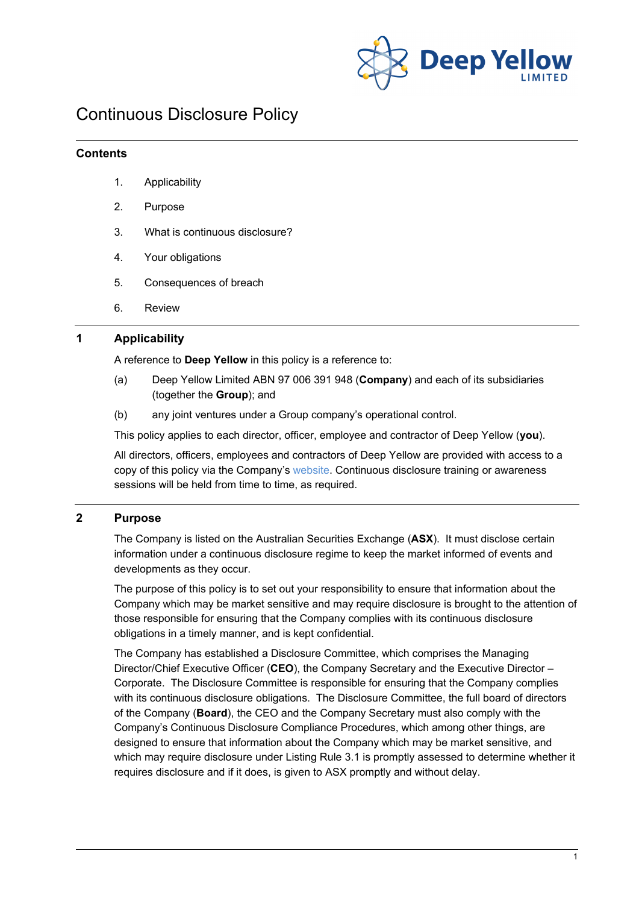

# Continuous Disclosure Policy

#### **Contents**

- 1. Applicability
- 2. Purpose
- 3. What is continuous disclosure?
- 4. Your obligations
- 5. Consequences of breach
- 6. Review

#### **1 Applicability**

A reference to **Deep Yellow** in this policy is a reference to:

- (a) Deep Yellow Limited ABN 97 006 391 948 (**Company**) and each of its subsidiaries (together the **Group**); and
- (b) any joint ventures under a Group company's operational control.

This policy applies to each director, officer, employee and contractor of Deep Yellow (**you**).

All directors, officers, employees and contractors of Deep Yellow are provided with access to a copy of this policy via the Company's website. Continuous disclosure training or awareness sessions will be held from time to time, as required.

#### **2 Purpose**

The Company is listed on the Australian Securities Exchange (**ASX**). It must disclose certain information under a continuous disclosure regime to keep the market informed of events and developments as they occur.

The purpose of this policy is to set out your responsibility to ensure that information about the Company which may be market sensitive and may require disclosure is brought to the attention of those responsible for ensuring that the Company complies with its continuous disclosure obligations in a timely manner, and is kept confidential.

The Company has established a Disclosure Committee, which comprises the Managing Director/Chief Executive Officer (**CEO**), the Company Secretary and the Executive Director – Corporate. The Disclosure Committee is responsible for ensuring that the Company complies with its continuous disclosure obligations. The Disclosure Committee, the full board of directors of the Company (**Board**), the CEO and the Company Secretary must also comply with the Company's Continuous Disclosure Compliance Procedures, which among other things, are designed to ensure that information about the Company which may be market sensitive, and which may require disclosure under Listing Rule 3.1 is promptly assessed to determine whether it requires disclosure and if it does, is given to ASX promptly and without delay.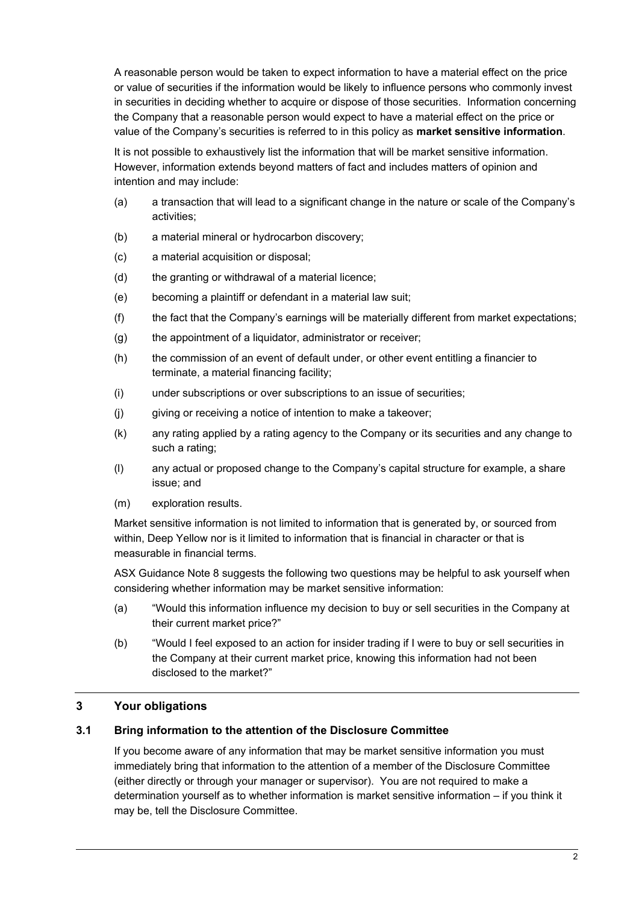A reasonable person would be taken to expect information to have a material effect on the price or value of securities if the information would be likely to influence persons who commonly invest in securities in deciding whether to acquire or dispose of those securities. Information concerning the Company that a reasonable person would expect to have a material effect on the price or value of the Company's securities is referred to in this policy as **market sensitive information**.

It is not possible to exhaustively list the information that will be market sensitive information. However, information extends beyond matters of fact and includes matters of opinion and intention and may include:

- (a) a transaction that will lead to a significant change in the nature or scale of the Company's activities;
- (b) a material mineral or hydrocarbon discovery;
- (c) a material acquisition or disposal;
- (d) the granting or withdrawal of a material licence;
- (e) becoming a plaintiff or defendant in a material law suit;
- (f) the fact that the Company's earnings will be materially different from market expectations;
- (g) the appointment of a liquidator, administrator or receiver;
- (h) the commission of an event of default under, or other event entitling a financier to terminate, a material financing facility;
- (i) under subscriptions or over subscriptions to an issue of securities;
- (j) giving or receiving a notice of intention to make a takeover;
- (k) any rating applied by a rating agency to the Company or its securities and any change to such a rating;
- (l) any actual or proposed change to the Company's capital structure for example, a share issue; and
- (m) exploration results.

Market sensitive information is not limited to information that is generated by, or sourced from within, Deep Yellow nor is it limited to information that is financial in character or that is measurable in financial terms.

ASX Guidance Note 8 suggests the following two questions may be helpful to ask yourself when considering whether information may be market sensitive information:

- (a) "Would this information influence my decision to buy or sell securities in the Company at their current market price?"
- (b) "Would I feel exposed to an action for insider trading if I were to buy or sell securities in the Company at their current market price, knowing this information had not been disclosed to the market?"

#### **3 Your obligations**

#### **3.1 Bring information to the attention of the Disclosure Committee**

If you become aware of any information that may be market sensitive information you must immediately bring that information to the attention of a member of the Disclosure Committee (either directly or through your manager or supervisor). You are not required to make a determination yourself as to whether information is market sensitive information – if you think it may be, tell the Disclosure Committee.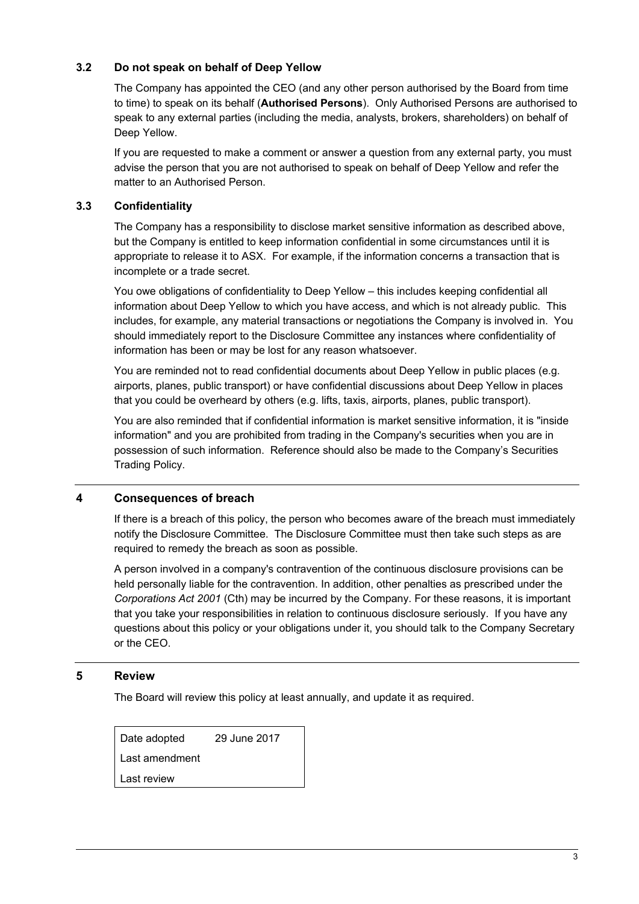# **3.2 Do not speak on behalf of Deep Yellow**

The Company has appointed the CEO (and any other person authorised by the Board from time to time) to speak on its behalf (**Authorised Persons**). Only Authorised Persons are authorised to speak to any external parties (including the media, analysts, brokers, shareholders) on behalf of Deep Yellow.

If you are requested to make a comment or answer a question from any external party, you must advise the person that you are not authorised to speak on behalf of Deep Yellow and refer the matter to an Authorised Person.

# **3.3 Confidentiality**

The Company has a responsibility to disclose market sensitive information as described above, but the Company is entitled to keep information confidential in some circumstances until it is appropriate to release it to ASX. For example, if the information concerns a transaction that is incomplete or a trade secret.

You owe obligations of confidentiality to Deep Yellow – this includes keeping confidential all information about Deep Yellow to which you have access, and which is not already public. This includes, for example, any material transactions or negotiations the Company is involved in. You should immediately report to the Disclosure Committee any instances where confidentiality of information has been or may be lost for any reason whatsoever.

You are reminded not to read confidential documents about Deep Yellow in public places (e.g. airports, planes, public transport) or have confidential discussions about Deep Yellow in places that you could be overheard by others (e.g. lifts, taxis, airports, planes, public transport).

You are also reminded that if confidential information is market sensitive information, it is "inside information" and you are prohibited from trading in the Company's securities when you are in possession of such information. Reference should also be made to the Company's Securities Trading Policy.

# **4 Consequences of breach**

If there is a breach of this policy, the person who becomes aware of the breach must immediately notify the Disclosure Committee. The Disclosure Committee must then take such steps as are required to remedy the breach as soon as possible.

A person involved in a company's contravention of the continuous disclosure provisions can be held personally liable for the contravention. In addition, other penalties as prescribed under the *Corporations Act 2001* (Cth) may be incurred by the Company. For these reasons, it is important that you take your responsibilities in relation to continuous disclosure seriously. If you have any questions about this policy or your obligations under it, you should talk to the Company Secretary or the CEO.

## **5 Review**

The Board will review this policy at least annually, and update it as required.

Date adopted 29 June 2017 Last amendment Last review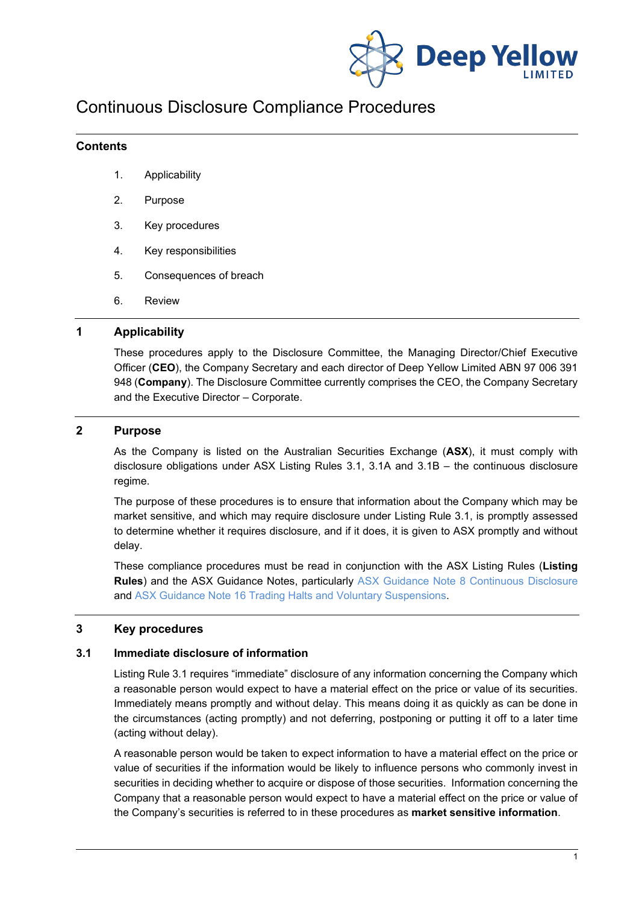

# Continuous Disclosure Compliance Procedures

#### **Contents**

- 1. Applicability
- 2. Purpose
- 3. Key procedures
- 4. Key responsibilities
- 5. Consequences of breach
- 6. Review

#### **1 Applicability**

These procedures apply to the Disclosure Committee, the Managing Director/Chief Executive Officer (**CEO**), the Company Secretary and each director of Deep Yellow Limited ABN 97 006 391 948 (**Company**). The Disclosure Committee currently comprises the CEO, the Company Secretary and the Executive Director – Corporate.

#### **2 Purpose**

As the Company is listed on the Australian Securities Exchange (**ASX**), it must comply with disclosure obligations under ASX Listing Rules 3.1, 3.1A and 3.1B – the continuous disclosure regime.

The purpose of these procedures is to ensure that information about the Company which may be market sensitive, and which may require disclosure under Listing Rule 3.1, is promptly assessed to determine whether it requires disclosure, and if it does, it is given to ASX promptly and without delay.

These compliance procedures must be read in conjunction with the ASX Listing Rules (**Listing Rules**) and the ASX Guidance Notes, particularly [ASX Guidance Note 8 Continuous Disclosure](http://www.asx.com.au/documents/rules/gn08_continuous_disclosure.pdf) and ASX Guidance Note 16 [Trading Halts and Voluntary Suspensions.](http://www.asx.com.au/documents/rules/gn16_trading_halts.pdf)

#### **3 Key procedures**

#### **3.1 Immediate disclosure of information**

Listing Rule 3.1 requires "immediate" disclosure of any information concerning the Company which a reasonable person would expect to have a material effect on the price or value of its securities. Immediately means promptly and without delay. This means doing it as quickly as can be done in the circumstances (acting promptly) and not deferring, postponing or putting it off to a later time (acting without delay).

A reasonable person would be taken to expect information to have a material effect on the price or value of securities if the information would be likely to influence persons who commonly invest in securities in deciding whether to acquire or dispose of those securities. Information concerning the Company that a reasonable person would expect to have a material effect on the price or value of the Company's securities is referred to in these procedures as **market sensitive information**.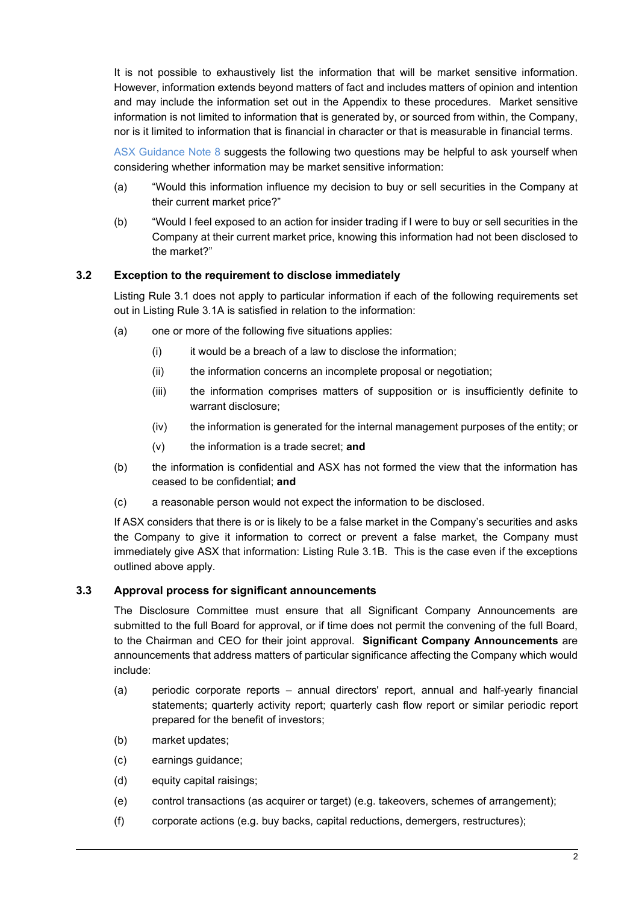It is not possible to exhaustively list the information that will be market sensitive information. However, information extends beyond matters of fact and includes matters of opinion and intention and may include the information set out in the Appendix to these procedures. Market sensitive information is not limited to information that is generated by, or sourced from within, the Company, nor is it limited to information that is financial in character or that is measurable in financial terms.

[ASX Guidance Note 8](http://www.asx.com.au/documents/rules/gn08_continuous_disclosure.pdf) suggests the following two questions may be helpful to ask yourself when considering whether information may be market sensitive information:

- (a) "Would this information influence my decision to buy or sell securities in the Company at their current market price?"
- (b) "Would I feel exposed to an action for insider trading if I were to buy or sell securities in the Company at their current market price, knowing this information had not been disclosed to the market?"

#### **3.2 Exception to the requirement to disclose immediately**

Listing Rule 3.1 does not apply to particular information if each of the following requirements set out in Listing Rule 3.1A is satisfied in relation to the information:

- (a) one or more of the following five situations applies:
	- (i) it would be a breach of a law to disclose the information;
	- (ii) the information concerns an incomplete proposal or negotiation;
	- (iii) the information comprises matters of supposition or is insufficiently definite to warrant disclosure;
	- (iv) the information is generated for the internal management purposes of the entity; or
	- (v) the information is a trade secret; **and**
- (b) the information is confidential and ASX has not formed the view that the information has ceased to be confidential; **and**
- (c) a reasonable person would not expect the information to be disclosed.

If ASX considers that there is or is likely to be a false market in the Company's securities and asks the Company to give it information to correct or prevent a false market, the Company must immediately give ASX that information: Listing Rule 3.1B. This is the case even if the exceptions outlined above apply.

#### <span id="page-4-0"></span>**3.3 Approval process for significant announcements**

The Disclosure Committee must ensure that all Significant Company Announcements are submitted to the full Board for approval, or if time does not permit the convening of the full Board, to the Chairman and CEO for their joint approval. **Significant Company Announcements** are announcements that address matters of particular significance affecting the Company which would include:

- (a) periodic corporate reports annual directors' report, annual and half-yearly financial statements; quarterly activity report; quarterly cash flow report or similar periodic report prepared for the benefit of investors;
- (b) market updates;
- (c) earnings guidance;
- (d) equity capital raisings;
- (e) control transactions (as acquirer or target) (e.g. takeovers, schemes of arrangement);
- (f) corporate actions (e.g. buy backs, capital reductions, demergers, restructures);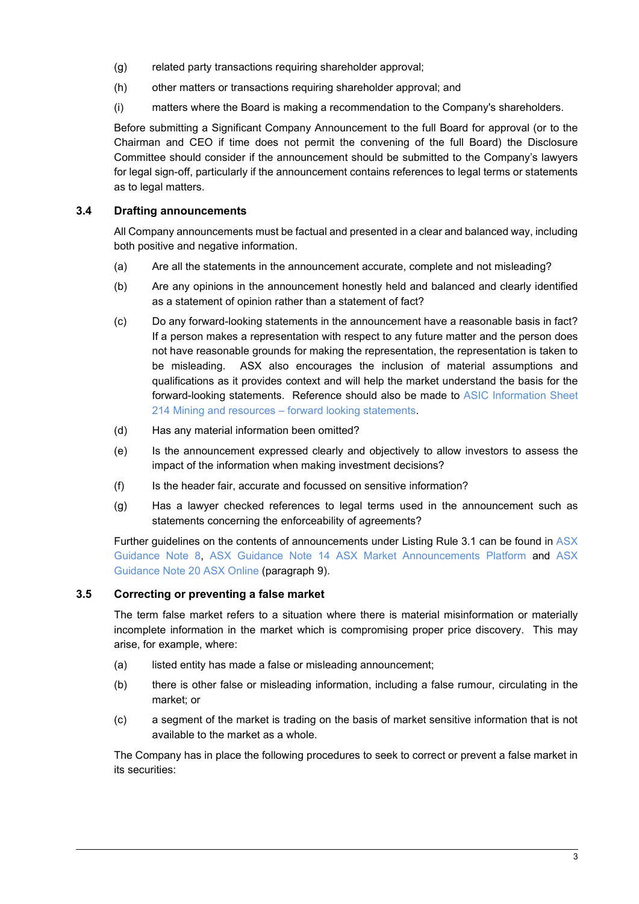- (g) related party transactions requiring shareholder approval;
- (h) other matters or transactions requiring shareholder approval; and
- (i) matters where the Board is making a recommendation to the Company's shareholders.

Before submitting a Significant Company Announcement to the full Board for approval (or to the Chairman and CEO if time does not permit the convening of the full Board) the Disclosure Committee should consider if the announcement should be submitted to the Company's lawyers for legal sign-off, particularly if the announcement contains references to legal terms or statements as to legal matters.

#### **3.4 Drafting announcements**

All Company announcements must be factual and presented in a clear and balanced way, including both positive and negative information.

- (a) Are all the statements in the announcement accurate, complete and not misleading?
- (b) Are any opinions in the announcement honestly held and balanced and clearly identified as a statement of opinion rather than a statement of fact?
- (c) Do any forward-looking statements in the announcement have a reasonable basis in fact? If a person makes a representation with respect to any future matter and the person does not have reasonable grounds for making the representation, the representation is taken to be misleading. ASX also encourages the inclusion of material assumptions and qualifications as it provides context and will help the market understand the basis for the forward-looking statements. Reference should also be made to [ASIC Information Sheet](http://asic.gov.au/regulatory-resources/takeovers/forward-looking-statements/mining-and-resources-forward-looking-statements/)  [214 Mining and resources –](http://asic.gov.au/regulatory-resources/takeovers/forward-looking-statements/mining-and-resources-forward-looking-statements/) forward looking statements.
- (d) Has any material information been omitted?
- (e) Is the announcement expressed clearly and objectively to allow investors to assess the impact of the information when making investment decisions?
- (f) Is the header fair, accurate and focussed on sensitive information?
- (g) Has a lawyer checked references to legal terms used in the announcement such as statements concerning the enforceability of agreements?

Further guidelines on the contents of announcements under Listing Rule 3.1 can be found in [ASX](http://www.asx.com.au/documents/rules/gn08_continuous_disclosure.pdf)  [Guidance Note 8,](http://www.asx.com.au/documents/rules/gn08_continuous_disclosure.pdf) [ASX Guidance Note 14 ASX Market Announcements Platform](http://www.asx.com.au/documents/rules/gn14_asx_market_announcements_platform.pdf) and [ASX](http://www.asx.com.au/documents/rules/gn20_asx_online.pdf)  [Guidance Note 20 ASX Online](http://www.asx.com.au/documents/rules/gn20_asx_online.pdf) (paragraph 9).

#### **3.5 Correcting or preventing a false market**

The term false market refers to a situation where there is material misinformation or materially incomplete information in the market which is compromising proper price discovery. This may arise, for example, where:

- (a) listed entity has made a false or misleading announcement;
- (b) there is other false or misleading information, including a false rumour, circulating in the market; or
- (c) a segment of the market is trading on the basis of market sensitive information that is not available to the market as a whole.

The Company has in place the following procedures to seek to correct or prevent a false market in its securities: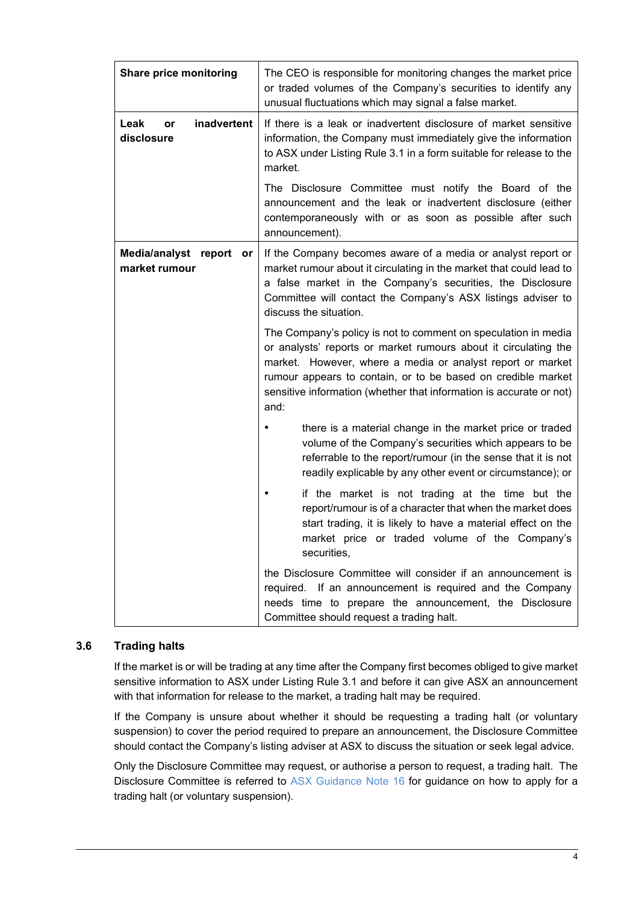| Share price monitoring                         | The CEO is responsible for monitoring changes the market price<br>or traded volumes of the Company's securities to identify any<br>unusual fluctuations which may signal a false market.                                                                                                                                                       |
|------------------------------------------------|------------------------------------------------------------------------------------------------------------------------------------------------------------------------------------------------------------------------------------------------------------------------------------------------------------------------------------------------|
| inadvertent<br>Leak<br>or<br>disclosure        | If there is a leak or inadvertent disclosure of market sensitive<br>information, the Company must immediately give the information<br>to ASX under Listing Rule 3.1 in a form suitable for release to the<br>market.                                                                                                                           |
|                                                | The Disclosure Committee must notify the Board of the<br>announcement and the leak or inadvertent disclosure (either<br>contemporaneously with or as soon as possible after such<br>announcement).                                                                                                                                             |
| Media/analyst<br>report<br>or<br>market rumour | If the Company becomes aware of a media or analyst report or<br>market rumour about it circulating in the market that could lead to<br>a false market in the Company's securities, the Disclosure<br>Committee will contact the Company's ASX listings adviser to<br>discuss the situation.                                                    |
|                                                | The Company's policy is not to comment on speculation in media<br>or analysts' reports or market rumours about it circulating the<br>market. However, where a media or analyst report or market<br>rumour appears to contain, or to be based on credible market<br>sensitive information (whether that information is accurate or not)<br>and: |
|                                                | there is a material change in the market price or traded<br>volume of the Company's securities which appears to be<br>referrable to the report/rumour (in the sense that it is not<br>readily explicable by any other event or circumstance); or                                                                                               |
|                                                | if the market is not trading at the time but the<br>report/rumour is of a character that when the market does<br>start trading, it is likely to have a material effect on the<br>market price or traded volume of the Company's<br>securities,                                                                                                 |
|                                                | the Disclosure Committee will consider if an announcement is<br>required. If an announcement is required and the Company<br>needs time to prepare the announcement, the Disclosure<br>Committee should request a trading halt.                                                                                                                 |

#### **3.6 Trading halts**

If the market is or will be trading at any time after the Company first becomes obliged to give market sensitive information to ASX under Listing Rule 3.1 and before it can give ASX an announcement with that information for release to the market, a trading halt may be required.

If the Company is unsure about whether it should be requesting a trading halt (or voluntary suspension) to cover the period required to prepare an announcement, the Disclosure Committee should contact the Company's listing adviser at ASX to discuss the situation or seek legal advice.

Only the Disclosure Committee may request, or authorise a person to request, a trading halt. The Disclosure Committee is referred to [ASX Guidance Note 16](http://www.asx.com.au/documents/rules/gn16_trading_halts.pdf) for guidance on how to apply for a trading halt (or voluntary suspension).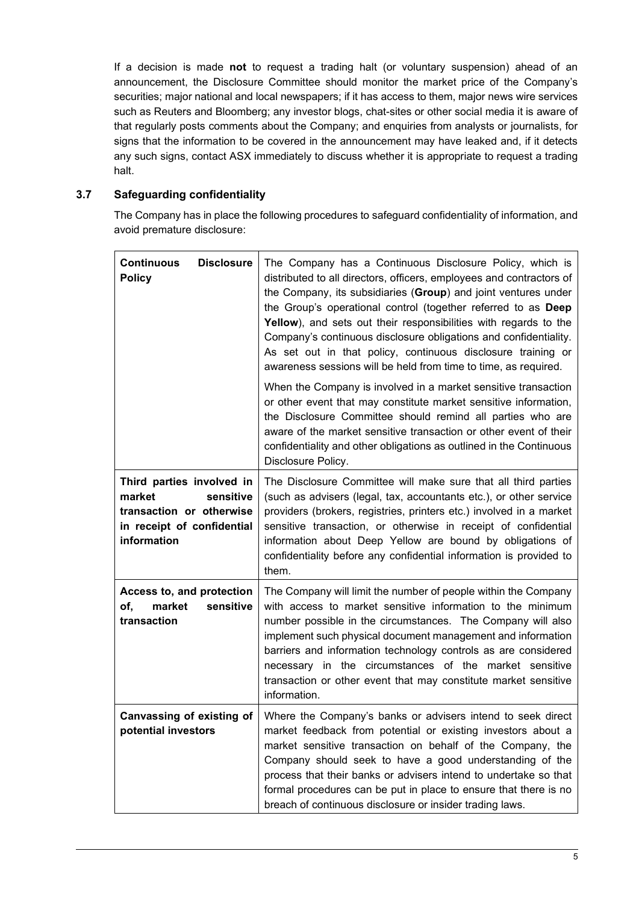If a decision is made **not** to request a trading halt (or voluntary suspension) ahead of an announcement, the Disclosure Committee should monitor the market price of the Company's securities; major national and local newspapers; if it has access to them, major news wire services such as Reuters and Bloomberg; any investor blogs, chat-sites or other social media it is aware of that regularly posts comments about the Company; and enquiries from analysts or journalists, for signs that the information to be covered in the announcement may have leaked and, if it detects any such signs, contact ASX immediately to discuss whether it is appropriate to request a trading halt.

## **3.7 Safeguarding confidentiality**

The Company has in place the following procedures to safeguard confidentiality of information, and avoid premature disclosure:

| <b>Continuous</b><br><b>Disclosure</b><br><b>Policy</b>                                                                   | The Company has a Continuous Disclosure Policy, which is<br>distributed to all directors, officers, employees and contractors of<br>the Company, its subsidiaries (Group) and joint ventures under<br>the Group's operational control (together referred to as Deep<br>Yellow), and sets out their responsibilities with regards to the<br>Company's continuous disclosure obligations and confidentiality.<br>As set out in that policy, continuous disclosure training or<br>awareness sessions will be held from time to time, as required.<br>When the Company is involved in a market sensitive transaction<br>or other event that may constitute market sensitive information,<br>the Disclosure Committee should remind all parties who are<br>aware of the market sensitive transaction or other event of their<br>confidentiality and other obligations as outlined in the Continuous<br>Disclosure Policy. |
|---------------------------------------------------------------------------------------------------------------------------|----------------------------------------------------------------------------------------------------------------------------------------------------------------------------------------------------------------------------------------------------------------------------------------------------------------------------------------------------------------------------------------------------------------------------------------------------------------------------------------------------------------------------------------------------------------------------------------------------------------------------------------------------------------------------------------------------------------------------------------------------------------------------------------------------------------------------------------------------------------------------------------------------------------------|
| Third parties involved in<br>market<br>sensitive<br>transaction or otherwise<br>in receipt of confidential<br>information | The Disclosure Committee will make sure that all third parties<br>(such as advisers (legal, tax, accountants etc.), or other service<br>providers (brokers, registries, printers etc.) involved in a market<br>sensitive transaction, or otherwise in receipt of confidential<br>information about Deep Yellow are bound by obligations of<br>confidentiality before any confidential information is provided to<br>them.                                                                                                                                                                                                                                                                                                                                                                                                                                                                                            |
| Access to, and protection<br>market<br>sensitive<br>of,<br>transaction                                                    | The Company will limit the number of people within the Company<br>with access to market sensitive information to the minimum<br>number possible in the circumstances. The Company will also<br>implement such physical document management and information<br>barriers and information technology controls as are considered<br>necessary in the circumstances of the market sensitive<br>transaction or other event that may constitute market sensitive<br>information.                                                                                                                                                                                                                                                                                                                                                                                                                                            |
| Canvassing of existing of<br>potential investors                                                                          | Where the Company's banks or advisers intend to seek direct<br>market feedback from potential or existing investors about a<br>market sensitive transaction on behalf of the Company, the<br>Company should seek to have a good understanding of the<br>process that their banks or advisers intend to undertake so that<br>formal procedures can be put in place to ensure that there is no<br>breach of continuous disclosure or insider trading laws.                                                                                                                                                                                                                                                                                                                                                                                                                                                             |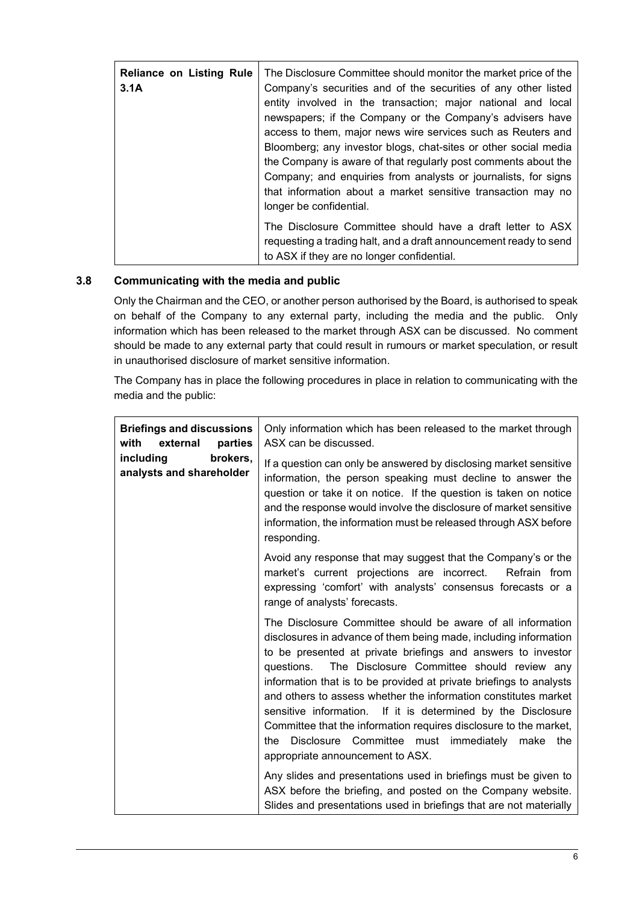| <b>Reliance on Listing Rule</b><br>3.1A | The Disclosure Committee should monitor the market price of the<br>Company's securities and of the securities of any other listed<br>entity involved in the transaction; major national and local<br>newspapers; if the Company or the Company's advisers have<br>access to them, major news wire services such as Reuters and<br>Bloomberg; any investor blogs, chat-sites or other social media<br>the Company is aware of that regularly post comments about the<br>Company; and enquiries from analysts or journalists, for signs<br>that information about a market sensitive transaction may no<br>longer be confidential. |
|-----------------------------------------|----------------------------------------------------------------------------------------------------------------------------------------------------------------------------------------------------------------------------------------------------------------------------------------------------------------------------------------------------------------------------------------------------------------------------------------------------------------------------------------------------------------------------------------------------------------------------------------------------------------------------------|
|                                         | The Disclosure Committee should have a draft letter to ASX<br>requesting a trading halt, and a draft announcement ready to send<br>to ASX if they are no longer confidential.                                                                                                                                                                                                                                                                                                                                                                                                                                                    |

# **3.8 Communicating with the media and public**

Only the Chairman and the CEO, or another person authorised by the Board, is authorised to speak on behalf of the Company to any external party, including the media and the public. Only information which has been released to the market through ASX can be discussed. No comment should be made to any external party that could result in rumours or market speculation, or result in unauthorised disclosure of market sensitive information.

The Company has in place the following procedures in place in relation to communicating with the media and the public:

| <b>Briefings and discussions</b><br>with<br>external<br>parties<br>brokers,<br>including<br>analysts and shareholder | Only information which has been released to the market through<br>ASX can be discussed.<br>If a question can only be answered by disclosing market sensitive<br>information, the person speaking must decline to answer the<br>question or take it on notice. If the question is taken on notice<br>and the response would involve the disclosure of market sensitive<br>information, the information must be released through ASX before<br>responding.                                                                                                                                                                                                                                                |
|----------------------------------------------------------------------------------------------------------------------|---------------------------------------------------------------------------------------------------------------------------------------------------------------------------------------------------------------------------------------------------------------------------------------------------------------------------------------------------------------------------------------------------------------------------------------------------------------------------------------------------------------------------------------------------------------------------------------------------------------------------------------------------------------------------------------------------------|
|                                                                                                                      | Avoid any response that may suggest that the Company's or the<br>market's current projections are incorrect.<br>Refrain from<br>expressing 'comfort' with analysts' consensus forecasts or a<br>range of analysts' forecasts.                                                                                                                                                                                                                                                                                                                                                                                                                                                                           |
|                                                                                                                      | The Disclosure Committee should be aware of all information<br>disclosures in advance of them being made, including information<br>to be presented at private briefings and answers to investor<br>questions. The Disclosure Committee should review any<br>information that is to be provided at private briefings to analysts<br>and others to assess whether the information constitutes market<br>sensitive information. If it is determined by the Disclosure<br>Committee that the information requires disclosure to the market,<br>Disclosure Committee must immediately make the<br>the<br>appropriate announcement to ASX.<br>Any slides and presentations used in briefings must be given to |
|                                                                                                                      | ASX before the briefing, and posted on the Company website.<br>Slides and presentations used in briefings that are not materially                                                                                                                                                                                                                                                                                                                                                                                                                                                                                                                                                                       |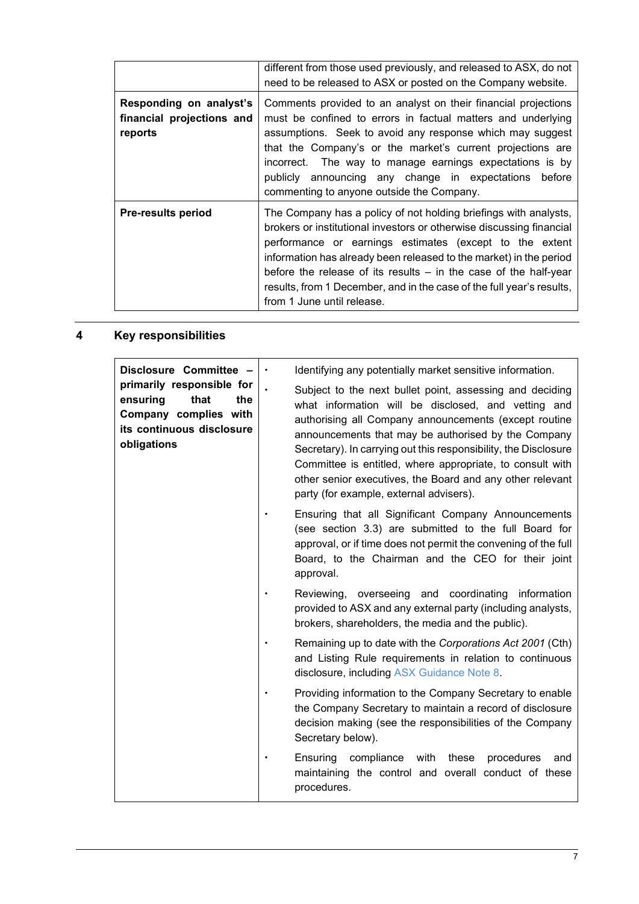|                                                                 | different from those used previously, and released to ASX, do not<br>need to be released to ASX or posted on the Company website.                                                                                                                                                                                                                                                                                                                      |
|-----------------------------------------------------------------|--------------------------------------------------------------------------------------------------------------------------------------------------------------------------------------------------------------------------------------------------------------------------------------------------------------------------------------------------------------------------------------------------------------------------------------------------------|
| Responding on analyst's<br>financial projections and<br>reports | Comments provided to an analyst on their financial projections<br>must be confined to errors in factual matters and underlying<br>assumptions. Seek to avoid any response which may suggest<br>that the Company's or the market's current projections are<br>incorrect. The way to manage earnings expectations is by<br>publicly announcing any change in expectations before<br>commenting to anyone outside the Company.                            |
| <b>Pre-results period</b>                                       | The Company has a policy of not holding briefings with analysts,<br>brokers or institutional investors or otherwise discussing financial<br>performance or earnings estimates (except to the extent<br>information has already been released to the market) in the period<br>before the release of its results $-$ in the case of the half-year<br>results, from 1 December, and in the case of the full year's results,<br>from 1 June until release. |

# **4 Key responsibilities**

| Disclosure Committee -<br>primarily responsible for<br>the<br>ensuring<br>that<br>Company complies with<br>its continuous disclosure<br>obligations | Identifying any potentially market sensitive information.<br>$\bullet$<br>Subject to the next bullet point, assessing and deciding<br>$\bullet$<br>what information will be disclosed, and vetting and<br>authorising all Company announcements (except routine<br>announcements that may be authorised by the Company<br>Secretary). In carrying out this responsibility, the Disclosure<br>Committee is entitled, where appropriate, to consult with<br>other senior executives, the Board and any other relevant<br>party (for example, external advisers). |
|-----------------------------------------------------------------------------------------------------------------------------------------------------|----------------------------------------------------------------------------------------------------------------------------------------------------------------------------------------------------------------------------------------------------------------------------------------------------------------------------------------------------------------------------------------------------------------------------------------------------------------------------------------------------------------------------------------------------------------|
|                                                                                                                                                     | Ensuring that all Significant Company Announcements<br>(see section 3.3) are submitted to the full Board for<br>approval, or if time does not permit the convening of the full<br>Board, to the Chairman and the CEO for their joint<br>approval.                                                                                                                                                                                                                                                                                                              |
|                                                                                                                                                     | Reviewing, overseeing and coordinating information<br>provided to ASX and any external party (including analysts,<br>brokers, shareholders, the media and the public).                                                                                                                                                                                                                                                                                                                                                                                         |
|                                                                                                                                                     | Remaining up to date with the Corporations Act 2001 (Cth)<br>and Listing Rule requirements in relation to continuous<br>disclosure, including ASX Guidance Note 8.                                                                                                                                                                                                                                                                                                                                                                                             |
|                                                                                                                                                     | Providing information to the Company Secretary to enable<br>the Company Secretary to maintain a record of disclosure<br>decision making (see the responsibilities of the Company<br>Secretary below).                                                                                                                                                                                                                                                                                                                                                          |
|                                                                                                                                                     | compliance<br>Ensuring<br>with<br>these<br>procedures<br>and<br>maintaining the control and overall conduct of these<br>procedures.                                                                                                                                                                                                                                                                                                                                                                                                                            |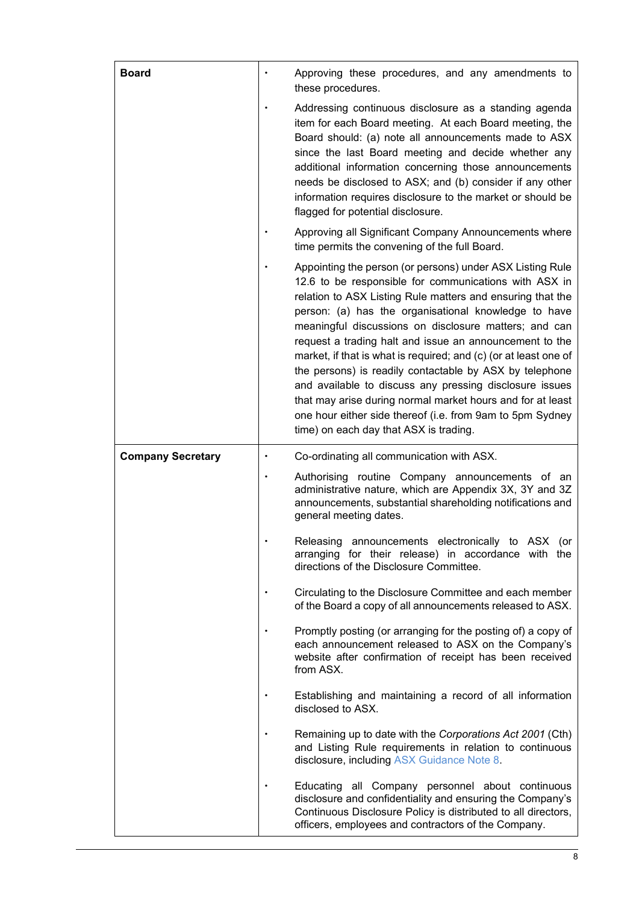| <b>Board</b>             | Approving these procedures, and any amendments to<br>these procedures.                                                                                                                                                                                                                                                                                                                                                                                                                                                                                                                                                                                                                                                      |
|--------------------------|-----------------------------------------------------------------------------------------------------------------------------------------------------------------------------------------------------------------------------------------------------------------------------------------------------------------------------------------------------------------------------------------------------------------------------------------------------------------------------------------------------------------------------------------------------------------------------------------------------------------------------------------------------------------------------------------------------------------------------|
|                          | Addressing continuous disclosure as a standing agenda<br>item for each Board meeting. At each Board meeting, the<br>Board should: (a) note all announcements made to ASX<br>since the last Board meeting and decide whether any<br>additional information concerning those announcements<br>needs be disclosed to ASX; and (b) consider if any other<br>information requires disclosure to the market or should be<br>flagged for potential disclosure.                                                                                                                                                                                                                                                                     |
|                          | Approving all Significant Company Announcements where<br>time permits the convening of the full Board.                                                                                                                                                                                                                                                                                                                                                                                                                                                                                                                                                                                                                      |
|                          | Appointing the person (or persons) under ASX Listing Rule<br>12.6 to be responsible for communications with ASX in<br>relation to ASX Listing Rule matters and ensuring that the<br>person: (a) has the organisational knowledge to have<br>meaningful discussions on disclosure matters; and can<br>request a trading halt and issue an announcement to the<br>market, if that is what is required; and (c) (or at least one of<br>the persons) is readily contactable by ASX by telephone<br>and available to discuss any pressing disclosure issues<br>that may arise during normal market hours and for at least<br>one hour either side thereof (i.e. from 9am to 5pm Sydney<br>time) on each day that ASX is trading. |
| <b>Company Secretary</b> | Co-ordinating all communication with ASX.                                                                                                                                                                                                                                                                                                                                                                                                                                                                                                                                                                                                                                                                                   |
|                          | Authorising routine Company announcements of an<br>administrative nature, which are Appendix 3X, 3Y and 3Z<br>announcements, substantial shareholding notifications and<br>general meeting dates.                                                                                                                                                                                                                                                                                                                                                                                                                                                                                                                           |
|                          | Releasing announcements electronically to ASX (or<br>arranging for their release) in accordance with the<br>directions of the Disclosure Committee.                                                                                                                                                                                                                                                                                                                                                                                                                                                                                                                                                                         |
|                          | Circulating to the Disclosure Committee and each member<br>of the Board a copy of all announcements released to ASX.                                                                                                                                                                                                                                                                                                                                                                                                                                                                                                                                                                                                        |
|                          | Promptly posting (or arranging for the posting of) a copy of<br>each announcement released to ASX on the Company's<br>website after confirmation of receipt has been received<br>from ASX.                                                                                                                                                                                                                                                                                                                                                                                                                                                                                                                                  |
|                          | Establishing and maintaining a record of all information<br>disclosed to ASX.                                                                                                                                                                                                                                                                                                                                                                                                                                                                                                                                                                                                                                               |
|                          | Remaining up to date with the Corporations Act 2001 (Cth)<br>and Listing Rule requirements in relation to continuous<br>disclosure, including ASX Guidance Note 8.                                                                                                                                                                                                                                                                                                                                                                                                                                                                                                                                                          |
|                          | Educating all Company personnel about continuous<br>disclosure and confidentiality and ensuring the Company's<br>Continuous Disclosure Policy is distributed to all directors,<br>officers, employees and contractors of the Company.                                                                                                                                                                                                                                                                                                                                                                                                                                                                                       |